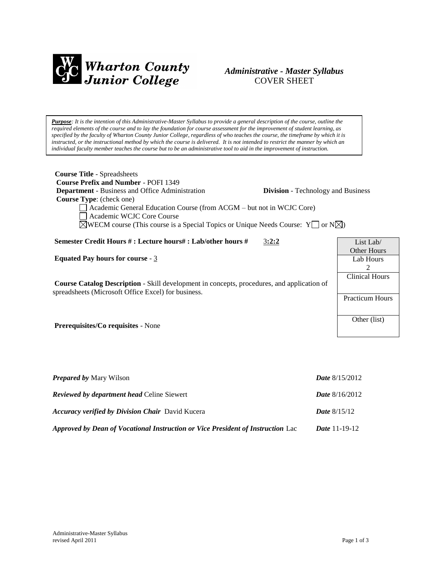

# *Administrative - Master Syllabus*  COVER SHEET

*Purpose: It is the intention of this Administrative-Master Syllabus to provide a general description of the course, outline the required elements of the course and to lay the foundation for course assessment for the improvement of student learning, as specified by the faculty of Wharton County Junior College, regardless of who teaches the course, the timeframe by which it is instructed, or the instructional method by which the course is delivered. It is not intended to restrict the manner by which an individual faculty member teaches the course but to be an administrative tool to aid in the improvement of instruction.*

| <b>Course Title - Spreadsheets</b><br><b>Course Prefix and Number - POFI 1349</b><br><b>Department</b> - Business and Office Administration<br>Course Type: (check one)<br>Academic General Education Course (from ACGM – but not in WCJC Core)<br>Academic WCJC Core Course<br>$\boxtimes$ WECM course (This course is a Special Topics or Unique Needs Course: Y $\Box$ or N $\boxtimes$ ) | <b>Division</b> - Technology and Business                                  |
|----------------------------------------------------------------------------------------------------------------------------------------------------------------------------------------------------------------------------------------------------------------------------------------------------------------------------------------------------------------------------------------------|----------------------------------------------------------------------------|
| Semester Credit Hours #: Lecture hours#: Lab/other hours #<br>3:2:2                                                                                                                                                                                                                                                                                                                          | List Lab/                                                                  |
| Equated Pay hours for course - $3$<br><b>Course Catalog Description</b> - Skill development in concepts, procedures, and application of<br>spreadsheets (Microsoft Office Excel) for business.                                                                                                                                                                                               | <b>Other Hours</b><br>Lab Hours<br>$\mathfrak{D}$<br><b>Clinical Hours</b> |
|                                                                                                                                                                                                                                                                                                                                                                                              | <b>Practicum Hours</b>                                                     |
| <b>Prerequisites/Co requisites - None</b>                                                                                                                                                                                                                                                                                                                                                    | Other (list)                                                               |
|                                                                                                                                                                                                                                                                                                                                                                                              |                                                                            |

| <b>Prepared by Mary Wilson</b>                                                  | <b>Date</b> $8/15/2012$ |
|---------------------------------------------------------------------------------|-------------------------|
| <b>Reviewed by department head Celine Siewert</b>                               | <b>Date</b> $8/16/2012$ |
| <b>Accuracy verified by Division Chair</b> David Kucera                         | <b>Date</b> $8/15/12$   |
| Approved by Dean of Vocational Instruction or Vice President of Instruction Lac | <i>Date</i> 11-19-12    |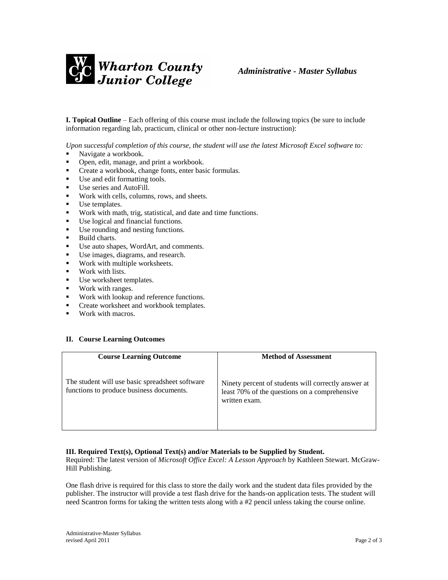

**I. Topical Outline** – Each offering of this course must include the following topics (be sure to include information regarding lab, practicum, clinical or other non-lecture instruction):

*Upon successful completion of this course, the student will use the latest Microsoft Excel software to:*

- Navigate a workbook.
- Open, edit, manage, and print a workbook.
- **Create a workbook, change fonts, enter basic formulas.**
- Use and edit formatting tools.
- Use series and AutoFill.
- Work with cells, columns, rows, and sheets.
- Use templates.
- Work with math, trig, statistical, and date and time functions.
- Use logical and financial functions.<br>■ Use rounding and nesting functions
- Use rounding and nesting functions.
- **Build charts.**
- Use auto shapes, WordArt, and comments.
- Use images, diagrams, and research.
- Work with multiple worksheets.
- **Work with lists.**
- Use worksheet templates.
- **Work with ranges.**
- Work with lookup and reference functions.
- **•** Create worksheet and workbook templates.
- **Work with macros.**

### **II. Course Learning Outcomes**

| <b>Course Learning Outcome</b>                                                              | <b>Method of Assessment</b>                                                                                           |
|---------------------------------------------------------------------------------------------|-----------------------------------------------------------------------------------------------------------------------|
| The student will use basic spreadsheet software<br>functions to produce business documents. | Ninety percent of students will correctly answer at<br>least 70% of the questions on a comprehensive<br>written exam. |

### **III. Required Text(s), Optional Text(s) and/or Materials to be Supplied by Student.**

Required: The latest version of *Microsoft Office Excel: A Lesson Approach* by Kathleen Stewart. McGraw-Hill Publishing.

One flash drive is required for this class to store the daily work and the student data files provided by the publisher. The instructor will provide a test flash drive for the hands-on application tests. The student will need Scantron forms for taking the written tests along with a #2 pencil unless taking the course online.